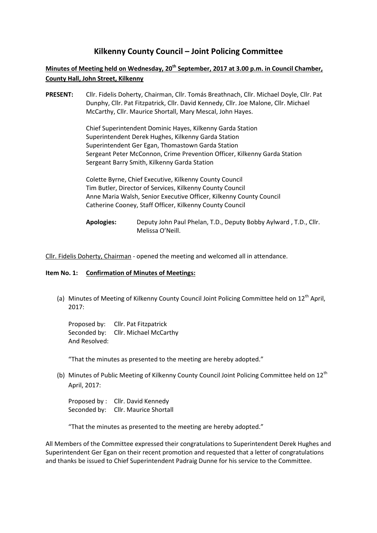# **Kilkenny County Council – Joint Policing Committee**

# **Minutes of Meeting held on Wednesday, 20th September, 2017 at 3.00 p.m. in Council Chamber, County Hall, John Street, Kilkenny**

**PRESENT:** Cllr. Fidelis Doherty, Chairman, Cllr. Tomás Breathnach, Cllr. Michael Doyle, Cllr. Pat Dunphy, Cllr. Pat Fitzpatrick, Cllr. David Kennedy, Cllr. Joe Malone, Cllr. Michael McCarthy, Cllr. Maurice Shortall, Mary Mescal, John Hayes.

> Chief Superintendent Dominic Hayes, Kilkenny Garda Station Superintendent Derek Hughes, Kilkenny Garda Station Superintendent Ger Egan, Thomastown Garda Station Sergeant Peter McConnon, Crime Prevention Officer, Kilkenny Garda Station Sergeant Barry Smith, Kilkenny Garda Station

Colette Byrne, Chief Executive, Kilkenny County Council Tim Butler, Director of Services, Kilkenny County Council Anne Maria Walsh, Senior Executive Officer, Kilkenny County Council Catherine Cooney, Staff Officer, Kilkenny County Council

Cllr. Fidelis Doherty, Chairman - opened the meeting and welcomed all in attendance.

#### **Item No. 1: Confirmation of Minutes of Meetings:**

(a) Minutes of Meeting of Kilkenny County Council Joint Policing Committee held on  $12<sup>th</sup>$  April, 2017:

Proposed by: Cllr. Pat Fitzpatrick Seconded by: Cllr. Michael McCarthy And Resolved:

"That the minutes as presented to the meeting are hereby adopted."

(b) Minutes of Public Meeting of Kilkenny County Council Joint Policing Committee held on  $12<sup>th</sup>$ April, 2017:

Proposed by : Cllr. David Kennedy Seconded by: Cllr. Maurice Shortall

"That the minutes as presented to the meeting are hereby adopted."

All Members of the Committee expressed their congratulations to Superintendent Derek Hughes and Superintendent Ger Egan on their recent promotion and requested that a letter of congratulations and thanks be issued to Chief Superintendent Padraig Dunne for his service to the Committee.

**Apologies:** Deputy John Paul Phelan, T.D., Deputy Bobby Aylward , T.D., Cllr. Melissa O'Neill.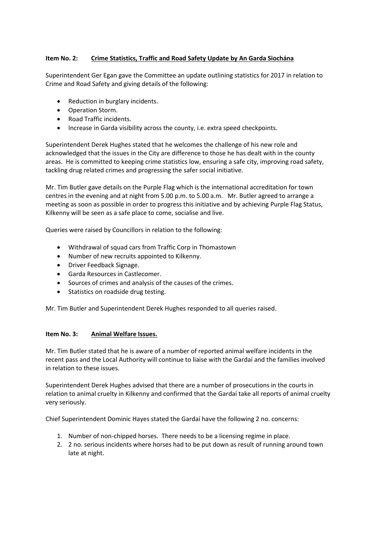## **Item No. 2: Crime Statistics, Traffic and Road Safety Update by An Garda Siochána**

Superintendent Ger Egan gave the Committee an update outlining statistics for 2017 in relation to Crime and Road Safety and giving details of the following:

- Reduction in burglary incidents.
- Operation Storm.
- Road Traffic incidents.
- Increase in Garda visibility across the county, i.e. extra speed checkpoints.

Superintendent Derek Hughes stated that he welcomes the challenge of his new role and acknowledged that the issues in the City are difference to those he has dealt with in the county areas. He is committed to keeping crime statistics low, ensuring a safe city, improving road safety, tackling drug related crimes and progressing the safer social initiative.

Mr. Tim Butler gave details on the Purple Flag which is the international accreditation for town centres in the evening and at night from 5.00 p.m. to 5.00 a.m. Mr. Butler agreed to arrange a meeting as soon as possible in order to progress this initiative and by achieving Purple Flag Status, Kilkenny will be seen as a safe place to come, socialise and live.

Queries were raised by Councillors in relation to the following:

- Withdrawal of squad cars from Traffic Corp in Thomastown
- Number of new recruits appointed to Kilkenny.
- Driver Feedback Signage.
- Garda Resources in Castlecomer.
- Sources of crimes and analysis of the causes of the crimes.
- Statistics on roadside drug testing.

Mr. Tim Butler and Superintendent Derek Hughes responded to all queries raised.

## **Item No. 3: Animal Welfare Issues.**

Mr. Tim Butler stated that he is aware of a number of reported animal welfare incidents in the recent pass and the Local Authority will continue to liaise with the Gardaí and the families involved in relation to these issues.

Superintendent Derek Hughes advised that there are a number of prosecutions in the courts in relation to animal cruelty in Kilkenny and confirmed that the Gardaí take all reports of animal cruelty very seriously.

Chief Superintendent Dominic Hayes stated the Gardaí have the following 2 no. concerns:

- 1. Number of non-chipped horses. There needs to be a licensing regime in place.
- 2. 2 no. serious incidents where horses had to be put down as result of running around town late at night.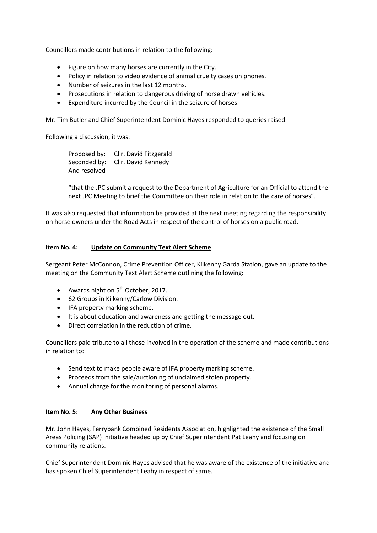Councillors made contributions in relation to the following:

- Figure on how many horses are currently in the City.
- Policy in relation to video evidence of animal cruelty cases on phones.
- Number of seizures in the last 12 months.
- Prosecutions in relation to dangerous driving of horse drawn vehicles.
- Expenditure incurred by the Council in the seizure of horses.

Mr. Tim Butler and Chief Superintendent Dominic Hayes responded to queries raised.

Following a discussion, it was:

Proposed by: Cllr. David Fitzgerald Seconded by: Cllr. David Kennedy And resolved

"that the JPC submit a request to the Department of Agriculture for an Official to attend the next JPC Meeting to brief the Committee on their role in relation to the care of horses".

It was also requested that information be provided at the next meeting regarding the responsibility on horse owners under the Road Acts in respect of the control of horses on a public road.

### **Item No. 4: Update on Community Text Alert Scheme**

Sergeant Peter McConnon, Crime Prevention Officer, Kilkenny Garda Station, gave an update to the meeting on the Community Text Alert Scheme outlining the following:

- Awards night on  $5<sup>th</sup>$  October, 2017.
- 62 Groups in Kilkenny/Carlow Division.
- IFA property marking scheme.
- It is about education and awareness and getting the message out.
- Direct correlation in the reduction of crime.

Councillors paid tribute to all those involved in the operation of the scheme and made contributions in relation to:

- Send text to make people aware of IFA property marking scheme.
- Proceeds from the sale/auctioning of unclaimed stolen property.
- Annual charge for the monitoring of personal alarms.

### **Item No. 5: Any Other Business**

Mr. John Hayes, Ferrybank Combined Residents Association, highlighted the existence of the Small Areas Policing (SAP) initiative headed up by Chief Superintendent Pat Leahy and focusing on community relations.

Chief Superintendent Dominic Hayes advised that he was aware of the existence of the initiative and has spoken Chief Superintendent Leahy in respect of same.